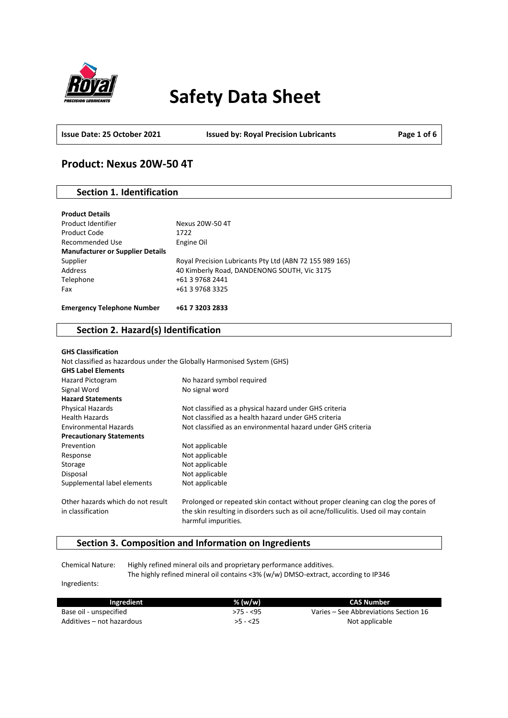

# **Safety Data Sheet**

**Issue Date: 25 October 2021 Issued by: Royal Precision Lubricants Page 1 of 6**

### **Product: Nexus 20W-50 4T**

### **Section 1. Identification**

| Product Code<br>Recommended Use         | 1722<br>Engine Oil                                      |
|-----------------------------------------|---------------------------------------------------------|
| <b>Manufacturer or Supplier Details</b> |                                                         |
| Supplier                                | Royal Precision Lubricants Pty Ltd (ABN 72 155 989 165) |
| Address                                 | 40 Kimberly Road, DANDENONG SOUTH, Vic 3175             |
| Telephone                               | +61 3 9768 2441                                         |
| Fax                                     | +61 3 9768 3325                                         |
|                                         |                                                         |
| <b>Emergency Telephone Number</b>       | +61 7 3203 2833                                         |

### **Section 2. Hazard(s) Identification**

| <b>GHS Classification</b>                              |                                                                                                                                                                         |
|--------------------------------------------------------|-------------------------------------------------------------------------------------------------------------------------------------------------------------------------|
|                                                        | Not classified as hazardous under the Globally Harmonised System (GHS)                                                                                                  |
| <b>GHS Label Elements</b>                              |                                                                                                                                                                         |
| <b>Hazard Pictogram</b>                                | No hazard symbol required                                                                                                                                               |
| Signal Word                                            | No signal word                                                                                                                                                          |
| <b>Hazard Statements</b>                               |                                                                                                                                                                         |
| <b>Physical Hazards</b>                                | Not classified as a physical hazard under GHS criteria                                                                                                                  |
| <b>Health Hazards</b>                                  | Not classified as a health hazard under GHS criteria                                                                                                                    |
| <b>Environmental Hazards</b>                           | Not classified as an environmental hazard under GHS criteria                                                                                                            |
| <b>Precautionary Statements</b>                        |                                                                                                                                                                         |
| Prevention                                             | Not applicable                                                                                                                                                          |
| Response                                               | Not applicable                                                                                                                                                          |
| Storage                                                | Not applicable                                                                                                                                                          |
| Disposal                                               | Not applicable                                                                                                                                                          |
| Supplemental label elements                            | Not applicable                                                                                                                                                          |
| Other hazards which do not result<br>in classification | Prolonged or repeated skin contact without proper cleaning can clog the pores of<br>the skin resulting in disorders such as oil acne/folliculitis. Used oil may contain |
|                                                        | harmful impurities.                                                                                                                                                     |

### **Section 3. Composition and Information on Ingredients**

Chemical Nature: Highly refined mineral oils and proprietary performance additives. The highly refined mineral oil contains <3% (w/w) DMSO-extract, according to IP346

Ingredients:

| Ingredient                | % (w/w)    | CAS Number                            |
|---------------------------|------------|---------------------------------------|
| Base oil - unspecified    | $>75 - 55$ | Varies – See Abbreviations Section 16 |
| Additives – not hazardous | $>5 - 25$  | Not applicable                        |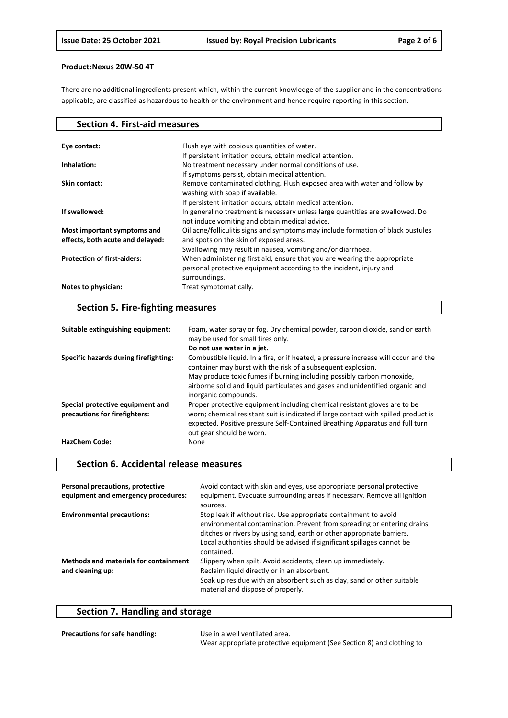There are no additional ingredients present which, within the current knowledge of the supplier and in the concentrations applicable, are classified as hazardous to health or the environment and hence require reporting in this section.

| <b>Section 4. First-aid measures</b>                            |                                                                                                                                                                   |
|-----------------------------------------------------------------|-------------------------------------------------------------------------------------------------------------------------------------------------------------------|
|                                                                 |                                                                                                                                                                   |
| Eye contact:                                                    | Flush eye with copious quantities of water.                                                                                                                       |
|                                                                 | If persistent irritation occurs, obtain medical attention.                                                                                                        |
| Inhalation:                                                     | No treatment necessary under normal conditions of use.                                                                                                            |
|                                                                 | If symptoms persist, obtain medical attention.                                                                                                                    |
| Skin contact:                                                   | Remove contaminated clothing. Flush exposed area with water and follow by<br>washing with soap if available.                                                      |
|                                                                 | If persistent irritation occurs, obtain medical attention.                                                                                                        |
| If swallowed:                                                   | In general no treatment is necessary unless large quantities are swallowed. Do<br>not induce vomiting and obtain medical advice.                                  |
| Most important symptoms and<br>effects, both acute and delayed: | Oil acne/folliculitis signs and symptoms may include formation of black pustules<br>and spots on the skin of exposed areas.                                       |
|                                                                 | Swallowing may result in nausea, vomiting and/or diarrhoea.                                                                                                       |
| <b>Protection of first-aiders:</b>                              | When administering first aid, ensure that you are wearing the appropriate<br>personal protective equipment according to the incident, injury and<br>surroundings. |
| Notes to physician:                                             | Treat symptomatically.                                                                                                                                            |

### **Section 5. Fire-fighting measures**

| Suitable extinguishing equipment:                                 | Foam, water spray or fog. Dry chemical powder, carbon dioxide, sand or earth<br>may be used for small fires only.                                                                                                                                                            |
|-------------------------------------------------------------------|------------------------------------------------------------------------------------------------------------------------------------------------------------------------------------------------------------------------------------------------------------------------------|
|                                                                   | Do not use water in a jet.                                                                                                                                                                                                                                                   |
| Specific hazards during firefighting:                             | Combustible liquid. In a fire, or if heated, a pressure increase will occur and the<br>container may burst with the risk of a subsequent explosion.                                                                                                                          |
|                                                                   | May produce toxic fumes if burning including possibly carbon monoxide,<br>airborne solid and liquid particulates and gases and unidentified organic and<br>inorganic compounds.                                                                                              |
| Special protective equipment and<br>precautions for firefighters: | Proper protective equipment including chemical resistant gloves are to be<br>worn; chemical resistant suit is indicated if large contact with spilled product is<br>expected. Positive pressure Self-Contained Breathing Apparatus and full turn<br>out gear should be worn. |
| <b>HazChem Code:</b>                                              | None                                                                                                                                                                                                                                                                         |

### **Section 6. Accidental release measures**

| Personal precautions, protective<br>equipment and emergency procedures: | Avoid contact with skin and eyes, use appropriate personal protective<br>equipment. Evacuate surrounding areas if necessary. Remove all ignition<br>sources.                                                                                                                                                |
|-------------------------------------------------------------------------|-------------------------------------------------------------------------------------------------------------------------------------------------------------------------------------------------------------------------------------------------------------------------------------------------------------|
| <b>Environmental precautions:</b>                                       | Stop leak if without risk. Use appropriate containment to avoid<br>environmental contamination. Prevent from spreading or entering drains,<br>ditches or rivers by using sand, earth or other appropriate barriers.<br>Local authorities should be advised if significant spillages cannot be<br>contained. |
| <b>Methods and materials for containment</b><br>and cleaning up:        | Slippery when spilt. Avoid accidents, clean up immediately.<br>Reclaim liquid directly or in an absorbent.<br>Soak up residue with an absorbent such as clay, sand or other suitable<br>material and dispose of properly.                                                                                   |

## **Section 7. Handling and storage**

| <b>Precautions for safe handling:</b> | Use in a well ventilated area.                                        |
|---------------------------------------|-----------------------------------------------------------------------|
|                                       | Wear appropriate protective equipment (See Section 8) and clothing to |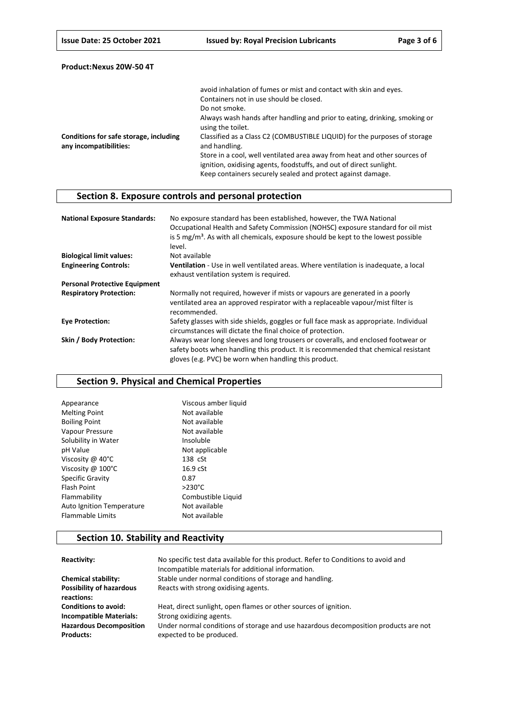|                                                                  | avoid inhalation of fumes or mist and contact with skin and eyes.                                                                                                                                               |
|------------------------------------------------------------------|-----------------------------------------------------------------------------------------------------------------------------------------------------------------------------------------------------------------|
|                                                                  | Containers not in use should be closed.                                                                                                                                                                         |
|                                                                  | Do not smoke.                                                                                                                                                                                                   |
|                                                                  | Always wash hands after handling and prior to eating, drinking, smoking or<br>using the toilet.                                                                                                                 |
| Conditions for safe storage, including<br>any incompatibilities: | Classified as a Class C2 (COMBUSTIBLE LIQUID) for the purposes of storage<br>and handling.                                                                                                                      |
|                                                                  | Store in a cool, well ventilated area away from heat and other sources of<br>ignition, oxidising agents, foodstuffs, and out of direct sunlight.<br>Keep containers securely sealed and protect against damage. |

### **Section 8. Exposure controls and personal protection**

| <b>National Exposure Standards:</b>  | No exposure standard has been established, however, the TWA National<br>Occupational Health and Safety Commission (NOHSC) exposure standard for oil mist<br>is 5 $mg/m3$ . As with all chemicals, exposure should be kept to the lowest possible<br>level. |
|--------------------------------------|------------------------------------------------------------------------------------------------------------------------------------------------------------------------------------------------------------------------------------------------------------|
| <b>Biological limit values:</b>      | Not available                                                                                                                                                                                                                                              |
| <b>Engineering Controls:</b>         | Ventilation - Use in well ventilated areas. Where ventilation is inadequate, a local<br>exhaust ventilation system is required.                                                                                                                            |
| <b>Personal Protective Equipment</b> |                                                                                                                                                                                                                                                            |
| <b>Respiratory Protection:</b>       | Normally not required, however if mists or vapours are generated in a poorly<br>ventilated area an approved respirator with a replaceable vapour/mist filter is<br>recommended.                                                                            |
| <b>Eve Protection:</b>               | Safety glasses with side shields, goggles or full face mask as appropriate. Individual<br>circumstances will dictate the final choice of protection.                                                                                                       |
| Skin / Body Protection:              | Always wear long sleeves and long trousers or coveralls, and enclosed footwear or<br>safety boots when handling this product. It is recommended that chemical resistant<br>gloves (e.g. PVC) be worn when handling this product.                           |

### **Section 9. Physical and Chemical Properties**

| Viscous amber liquid |
|----------------------|
| Not available        |
| Not available        |
| Not available        |
| Insoluble            |
| Not applicable       |
| 138 cSt              |
| $16.9$ $cSt$         |
| 0.87                 |
| $>230^{\circ}$ C     |
| Combustible Liquid   |
| Not available        |
| Not available        |
|                      |

### **Section 10. Stability and Reactivity**

| Reactivity:                                        | No specific test data available for this product. Refer to Conditions to avoid and<br>Incompatible materials for additional information. |
|----------------------------------------------------|------------------------------------------------------------------------------------------------------------------------------------------|
| <b>Chemical stability:</b>                         | Stable under normal conditions of storage and handling.                                                                                  |
| <b>Possibility of hazardous</b><br>reactions:      | Reacts with strong oxidising agents.                                                                                                     |
| <b>Conditions to avoid:</b>                        | Heat, direct sunlight, open flames or other sources of ignition.                                                                         |
| <b>Incompatible Materials:</b>                     | Strong oxidizing agents.                                                                                                                 |
| <b>Hazardous Decomposition</b><br><b>Products:</b> | Under normal conditions of storage and use hazardous decomposition products are not<br>expected to be produced.                          |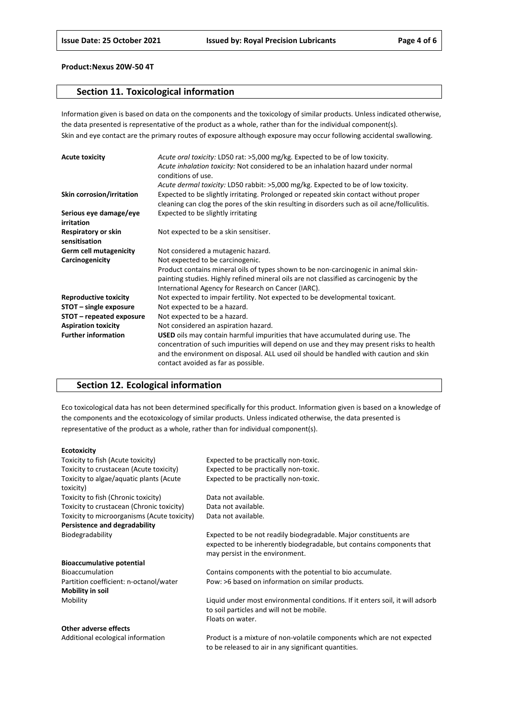### **Section 11. Toxicological information**

Information given is based on data on the components and the toxicology of similar products. Unless indicated otherwise, the data presented is representative of the product as a whole, rather than for the individual component(s). Skin and eye contact are the primary routes of exposure although exposure may occur following accidental swallowing.

| <b>Acute toxicity</b>                | Acute oral toxicity: LD50 rat: >5,000 mg/kg. Expected to be of low toxicity.<br>Acute inhalation toxicity: Not considered to be an inhalation hazard under normal<br>conditions of use.                                                                                                                    |
|--------------------------------------|------------------------------------------------------------------------------------------------------------------------------------------------------------------------------------------------------------------------------------------------------------------------------------------------------------|
|                                      | Acute dermal toxicity: LD50 rabbit: >5,000 mg/kg. Expected to be of low toxicity.                                                                                                                                                                                                                          |
| Skin corrosion/irritation            | Expected to be slightly irritating. Prolonged or repeated skin contact without proper<br>cleaning can clog the pores of the skin resulting in disorders such as oil acne/folliculitis.                                                                                                                     |
| Serious eye damage/eye<br>irritation | Expected to be slightly irritating                                                                                                                                                                                                                                                                         |
| Respiratory or skin<br>sensitisation | Not expected to be a skin sensitiser.                                                                                                                                                                                                                                                                      |
| <b>Germ cell mutagenicity</b>        | Not considered a mutagenic hazard.                                                                                                                                                                                                                                                                         |
| Carcinogenicity                      | Not expected to be carcinogenic.                                                                                                                                                                                                                                                                           |
|                                      | Product contains mineral oils of types shown to be non-carcinogenic in animal skin-                                                                                                                                                                                                                        |
|                                      | painting studies. Highly refined mineral oils are not classified as carcinogenic by the<br>International Agency for Research on Cancer (IARC).                                                                                                                                                             |
| <b>Reproductive toxicity</b>         | Not expected to impair fertility. Not expected to be developmental toxicant.                                                                                                                                                                                                                               |
| STOT - single exposure               | Not expected to be a hazard.                                                                                                                                                                                                                                                                               |
| STOT – repeated exposure             | Not expected to be a hazard.                                                                                                                                                                                                                                                                               |
| <b>Aspiration toxicity</b>           | Not considered an aspiration hazard.                                                                                                                                                                                                                                                                       |
| <b>Further information</b>           | USED oils may contain harmful impurities that have accumulated during use. The<br>concentration of such impurities will depend on use and they may present risks to health<br>and the environment on disposal. ALL used oil should be handled with caution and skin<br>contact avoided as far as possible. |

### **Section 12. Ecological information**

Eco toxicological data has not been determined specifically for this product. Information given is based on a knowledge of the components and the ecotoxicology of similar products. Unless indicated otherwise, the data presented is representative of the product as a whole, rather than for individual component(s).

#### **Ecotoxicity**

| Toxicity to fish (Acute toxicity)           | Expected to be practically non-toxic.                                         |
|---------------------------------------------|-------------------------------------------------------------------------------|
| Toxicity to crustacean (Acute toxicity)     | Expected to be practically non-toxic.                                         |
| Toxicity to algae/aquatic plants (Acute     | Expected to be practically non-toxic.                                         |
| toxicity)                                   |                                                                               |
| Toxicity to fish (Chronic toxicity)         | Data not available.                                                           |
| Toxicity to crustacean (Chronic toxicity)   | Data not available.                                                           |
| Toxicity to microorganisms (Acute toxicity) | Data not available.                                                           |
| Persistence and degradability               |                                                                               |
| Biodegradability                            | Expected to be not readily biodegradable. Major constituents are              |
|                                             | expected to be inherently biodegradable, but contains components that         |
|                                             | may persist in the environment.                                               |
| <b>Bioaccumulative potential</b>            |                                                                               |
| <b>Bioaccumulation</b>                      | Contains components with the potential to bio accumulate.                     |
| Partition coefficient: n-octanol/water      | Pow: >6 based on information on similar products.                             |
| <b>Mobility in soil</b>                     |                                                                               |
| Mobility                                    | Liquid under most environmental conditions. If it enters soil, it will adsorb |
|                                             | to soil particles and will not be mobile.                                     |
|                                             | Floats on water.                                                              |
| Other adverse effects                       |                                                                               |
| Additional ecological information           | Product is a mixture of non-volatile components which are not expected        |

to be released to air in any significant quantities.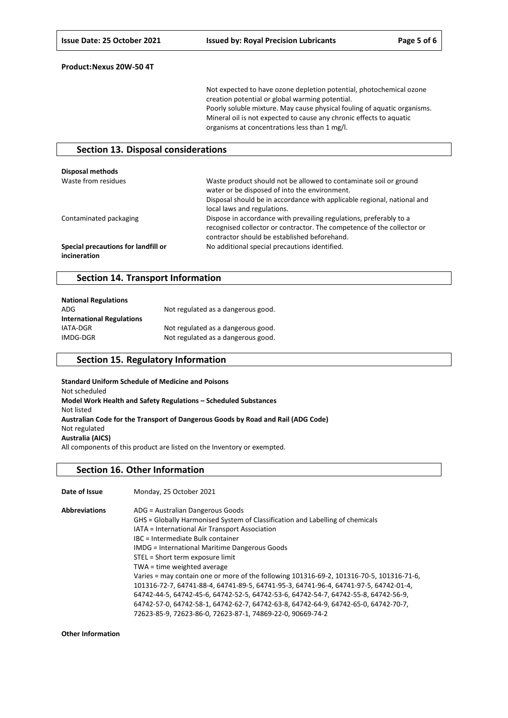Not expected to have ozone depletion potential, photochemical ozone creation potential or global warming potential. Poorly soluble mixture. May cause physical fouling of aquatic organisms. Mineral oil is not expected to cause any chronic effects to aquatic organisms at concentrations less than 1 mg/l.

### **Section 13. Disposal considerations**

| Disposal methods                                    |                                                                                                                                                                                                                              |
|-----------------------------------------------------|------------------------------------------------------------------------------------------------------------------------------------------------------------------------------------------------------------------------------|
| Waste from residues                                 | Waste product should not be allowed to contaminate soil or ground<br>water or be disposed of into the environment.<br>Disposal should be in accordance with applicable regional, national and<br>local laws and regulations. |
| Contaminated packaging                              | Dispose in accordance with prevailing regulations, preferably to a<br>recognised collector or contractor. The competence of the collector or<br>contractor should be established beforehand.                                 |
| Special precautions for landfill or<br>incineration | No additional special precautions identified.                                                                                                                                                                                |

### **Section 14. Transport Information**

| <b>National Regulations</b>      |                                    |
|----------------------------------|------------------------------------|
| ADG                              | Not regulated as a dangerous good. |
| <b>International Regulations</b> |                                    |
| IATA-DGR                         | Not regulated as a dangerous good. |
| IMDG-DGR                         | Not regulated as a dangerous good. |

### **Section 15. Regulatory Information**

**Standard Uniform Schedule of Medicine and Poisons** Not scheduled **Model Work Health and Safety Regulations – Scheduled Substances** Not listed **Australian Code for the Transport of Dangerous Goods by Road and Rail (ADG Code)** Not regulated **Australia (AICS)** All components of this product are listed on the Inventory or exempted.

#### **Section 16. Other Information**

| Date of Issue        | Monday, 25 October 2021                                                                  |
|----------------------|------------------------------------------------------------------------------------------|
| <b>Abbreviations</b> | ADG = Australian Dangerous Goods                                                         |
|                      | GHS = Globally Harmonised System of Classification and Labelling of chemicals            |
|                      | IATA = International Air Transport Association                                           |
|                      | IBC = Intermediate Bulk container                                                        |
|                      | <b>IMDG</b> = International Maritime Dangerous Goods                                     |
|                      | STEL = Short term exposure limit                                                         |
|                      | TWA = time weighted average                                                              |
|                      | Varies = may contain one or more of the following 101316-69-2, 101316-70-5, 101316-71-6, |
|                      | 101316-72-7, 64741-88-4, 64741-89-5, 64741-95-3, 64741-96-4, 64741-97-5, 64742-01-4,     |
|                      | 64742-44-5, 64742-45-6, 64742-52-5, 64742-53-6, 64742-54-7, 64742-55-8, 64742-56-9,      |
|                      | 64742-57-0, 64742-58-1, 64742-62-7, 64742-63-8, 64742-64-9, 64742-65-0, 64742-70-7,      |
|                      | 72623-85-9, 72623-86-0, 72623-87-1, 74869-22-0, 90669-74-2                               |

**Other Information**